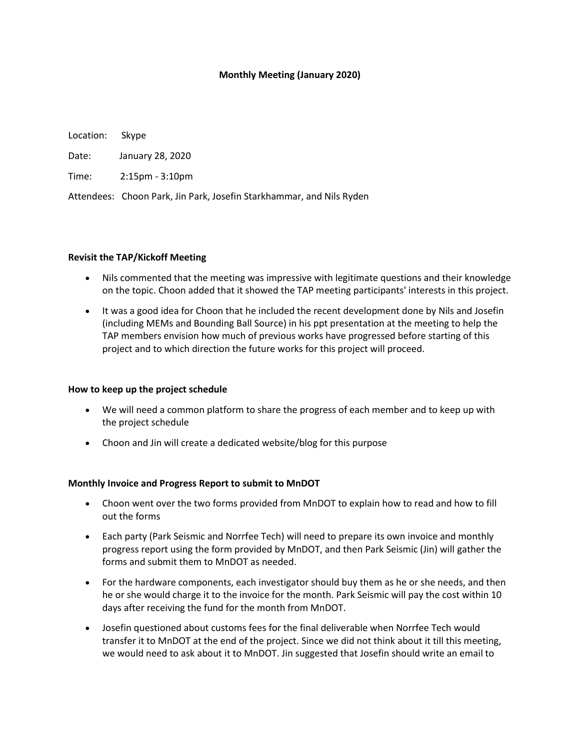## **Monthly Meeting (January 2020)**

Location: Skype Date: January 28, 2020 Time: 2:15pm - 3:10pm Attendees: Choon Park, Jin Park, Josefin Starkhammar, and Nils Ryden

### **Revisit the TAP/Kickoff Meeting**

- Nils commented that the meeting was impressive with legitimate questions and their knowledge on the topic. Choon added that it showed the TAP meeting participants' interests in this project.
- It was a good idea for Choon that he included the recent development done by Nils and Josefin (including MEMs and Bounding Ball Source) in his ppt presentation at the meeting to help the TAP members envision how much of previous works have progressed before starting of this project and to which direction the future works for this project will proceed.

#### **How to keep up the project schedule**

- We will need a common platform to share the progress of each member and to keep up with the project schedule
- Choon and Jin will create a dedicated website/blog for this purpose

#### **Monthly Invoice and Progress Report to submit to MnDOT**

- Choon went over the two forms provided from MnDOT to explain how to read and how to fill out the forms
- Each party (Park Seismic and Norrfee Tech) will need to prepare its own invoice and monthly progress report using the form provided by MnDOT, and then Park Seismic (Jin) will gather the forms and submit them to MnDOT as needed.
- For the hardware components, each investigator should buy them as he or she needs, and then he or she would charge it to the invoice for the month. Park Seismic will pay the cost within 10 days after receiving the fund for the month from MnDOT.
- Josefin questioned about customs fees for the final deliverable when Norrfee Tech would transfer it to MnDOT at the end of the project. Since we did not think about it till this meeting, we would need to ask about it to MnDOT. Jin suggested that Josefin should write an email to